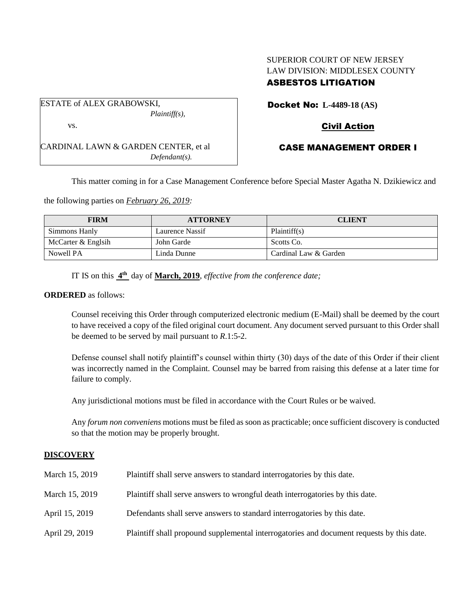# SUPERIOR COURT OF NEW JERSEY LAW DIVISION: MIDDLESEX COUNTY ASBESTOS LITIGATION

ESTATE of ALEX GRABOWSKI, *Plaintiff(s),* vs.

CARDINAL LAWN & GARDEN CENTER, et al *Defendant(s).*

Docket No: **L-4489-18 (AS)**

# Civil Action

## CASE MANAGEMENT ORDER I

This matter coming in for a Case Management Conference before Special Master Agatha N. Dzikiewicz and

the following parties on *February 26, 2019:*

| <b>FIRM</b>        | <b>ATTORNEY</b> | <b>CLIENT</b>         |
|--------------------|-----------------|-----------------------|
| Simmons Hanly      | Laurence Nassif | Plaintiff(s)          |
| McCarter & Englsih | John Garde      | Scotts Co.            |
| Nowell PA          | Linda Dunne     | Cardinal Law & Garden |

IT IS on this **4 th** day of **March, 2019**, *effective from the conference date;*

### **ORDERED** as follows:

Counsel receiving this Order through computerized electronic medium (E-Mail) shall be deemed by the court to have received a copy of the filed original court document. Any document served pursuant to this Order shall be deemed to be served by mail pursuant to *R*.1:5-2.

Defense counsel shall notify plaintiff's counsel within thirty (30) days of the date of this Order if their client was incorrectly named in the Complaint. Counsel may be barred from raising this defense at a later time for failure to comply.

Any jurisdictional motions must be filed in accordance with the Court Rules or be waived.

Any *forum non conveniens* motions must be filed as soon as practicable; once sufficient discovery is conducted so that the motion may be properly brought.

## **DISCOVERY**

| March 15, 2019 | Plaintiff shall serve answers to standard interrogatories by this date.                   |
|----------------|-------------------------------------------------------------------------------------------|
| March 15, 2019 | Plaintiff shall serve answers to wrongful death interrogatories by this date.             |
| April 15, 2019 | Defendants shall serve answers to standard interrogatories by this date.                  |
| April 29, 2019 | Plaintiff shall propound supplemental interrogatories and document requests by this date. |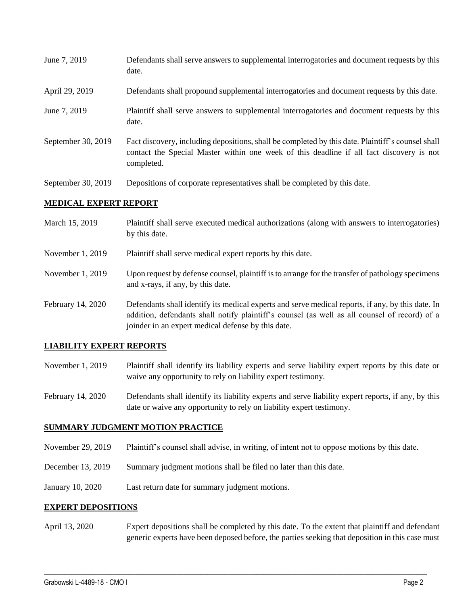- June 7, 2019 Defendants shall serve answers to supplemental interrogatories and document requests by this date.
- April 29, 2019 Defendants shall propound supplemental interrogatories and document requests by this date.
- June 7, 2019 Plaintiff shall serve answers to supplemental interrogatories and document requests by this date.
- September 30, 2019 Fact discovery, including depositions, shall be completed by this date. Plaintiff's counsel shall contact the Special Master within one week of this deadline if all fact discovery is not completed.
- September 30, 2019 Depositions of corporate representatives shall be completed by this date.

### **MEDICAL EXPERT REPORT**

- March 15, 2019 Plaintiff shall serve executed medical authorizations (along with answers to interrogatories) by this date.
- November 1, 2019 Plaintiff shall serve medical expert reports by this date.
- November 1, 2019 Upon request by defense counsel, plaintiff is to arrange for the transfer of pathology specimens and x-rays, if any, by this date.
- February 14, 2020 Defendants shall identify its medical experts and serve medical reports, if any, by this date. In addition, defendants shall notify plaintiff's counsel (as well as all counsel of record) of a joinder in an expert medical defense by this date.

## **LIABILITY EXPERT REPORTS**

- November 1, 2019 Plaintiff shall identify its liability experts and serve liability expert reports by this date or waive any opportunity to rely on liability expert testimony.
- February 14, 2020 Defendants shall identify its liability experts and serve liability expert reports, if any, by this date or waive any opportunity to rely on liability expert testimony.

### **SUMMARY JUDGMENT MOTION PRACTICE**

- November 29, 2019 Plaintiff's counsel shall advise, in writing, of intent not to oppose motions by this date.
- December 13, 2019 Summary judgment motions shall be filed no later than this date.
- January 10, 2020 Last return date for summary judgment motions.

### **EXPERT DEPOSITIONS**

April 13, 2020 Expert depositions shall be completed by this date. To the extent that plaintiff and defendant generic experts have been deposed before, the parties seeking that deposition in this case must

 $\_$  ,  $\_$  ,  $\_$  ,  $\_$  ,  $\_$  ,  $\_$  ,  $\_$  ,  $\_$  ,  $\_$  ,  $\_$  ,  $\_$  ,  $\_$  ,  $\_$  ,  $\_$  ,  $\_$  ,  $\_$  ,  $\_$  ,  $\_$  ,  $\_$  ,  $\_$  ,  $\_$  ,  $\_$  ,  $\_$  ,  $\_$  ,  $\_$  ,  $\_$  ,  $\_$  ,  $\_$  ,  $\_$  ,  $\_$  ,  $\_$  ,  $\_$  ,  $\_$  ,  $\_$  ,  $\_$  ,  $\_$  ,  $\_$  ,